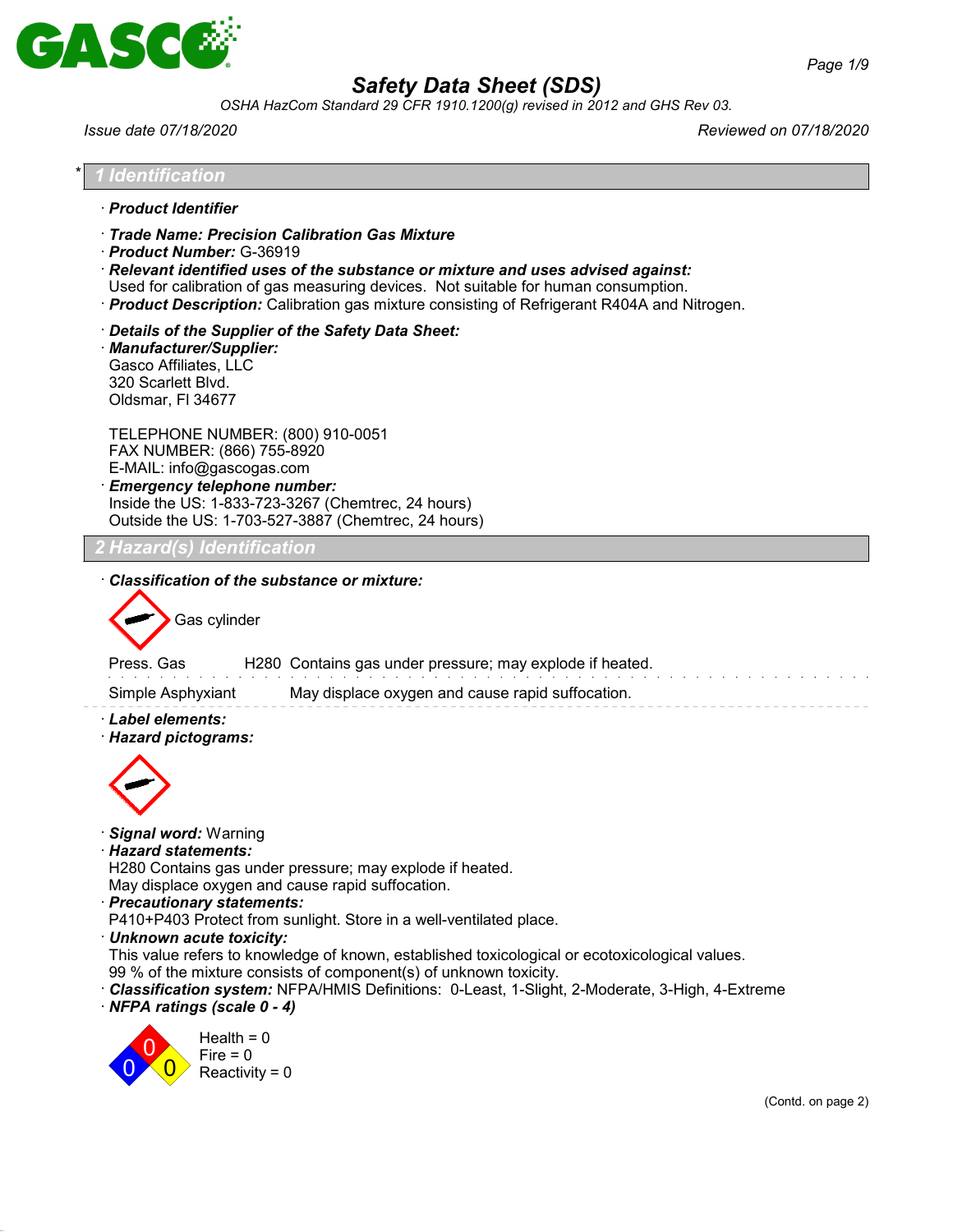

*OSHA HazCom Standard 29 CFR 1910.1200(g) revised in 2012 and GHS Rev 03.*

*Issue date 07/18/2020 Reviewed on 07/18/2020*

| · Product Identifier<br>Trade Name: Precision Calibration Gas Mixture<br>· Product Number: G-36919<br>$\cdot$ Relevant identified uses of the substance or mixture and uses advised against:<br>Used for calibration of gas measuring devices. Not suitable for human consumption.<br>· Product Description: Calibration gas mixture consisting of Refrigerant R404A and Nitrogen.<br>Details of the Supplier of the Safety Data Sheet:<br>· Manufacturer/Supplier:<br>Gasco Affiliates, LLC<br>320 Scarlett Blvd. |                                                |                                                  |  |                                                                                                |                    |  |
|--------------------------------------------------------------------------------------------------------------------------------------------------------------------------------------------------------------------------------------------------------------------------------------------------------------------------------------------------------------------------------------------------------------------------------------------------------------------------------------------------------------------|------------------------------------------------|--------------------------------------------------|--|------------------------------------------------------------------------------------------------|--------------------|--|
|                                                                                                                                                                                                                                                                                                                                                                                                                                                                                                                    |                                                |                                                  |  |                                                                                                |                    |  |
|                                                                                                                                                                                                                                                                                                                                                                                                                                                                                                                    |                                                |                                                  |  |                                                                                                |                    |  |
| Oldsmar, FI 34677                                                                                                                                                                                                                                                                                                                                                                                                                                                                                                  |                                                |                                                  |  |                                                                                                |                    |  |
| TELEPHONE NUMBER: (800) 910-0051<br>FAX NUMBER: (866) 755-8920<br>E-MAIL: info@gascogas.com<br><b>Emergency telephone number:</b><br>Inside the US: 1-833-723-3267 (Chemtrec, 24 hours)<br>Outside the US: 1-703-527-3887 (Chemtrec, 24 hours)                                                                                                                                                                                                                                                                     |                                                |                                                  |  |                                                                                                |                    |  |
| <b>Hazard(s) Identification</b>                                                                                                                                                                                                                                                                                                                                                                                                                                                                                    |                                                |                                                  |  |                                                                                                |                    |  |
| Simple Asphyxiant<br>· Label elements:<br>· Hazard pictograms:                                                                                                                                                                                                                                                                                                                                                                                                                                                     |                                                | May displace oxygen and cause rapid suffocation. |  |                                                                                                |                    |  |
|                                                                                                                                                                                                                                                                                                                                                                                                                                                                                                                    |                                                |                                                  |  |                                                                                                |                    |  |
| · Signal word: Warning<br>· Hazard statements:<br>H280 Contains gas under pressure; may explode if heated.<br>May displace oxygen and cause rapid suffocation.<br>· Precautionary statements:<br>P410+P403 Protect from sunlight. Store in a well-ventilated place.                                                                                                                                                                                                                                                |                                                |                                                  |  |                                                                                                |                    |  |
| · Unknown acute toxicity:<br>99 % of the mixture consists of component(s) of unknown toxicity.<br>· Classification system: NFPA/HMIS Definitions: 0-Least, 1-Slight, 2-Moderate, 3-High, 4-Extreme<br>· NFPA ratings (scale 0 - 4)                                                                                                                                                                                                                                                                                 |                                                |                                                  |  | This value refers to knowledge of known, established toxicological or ecotoxicological values. |                    |  |
|                                                                                                                                                                                                                                                                                                                                                                                                                                                                                                                    | Health = $0$<br>$Fire = 0$<br>Reactivity = $0$ |                                                  |  |                                                                                                |                    |  |
|                                                                                                                                                                                                                                                                                                                                                                                                                                                                                                                    |                                                |                                                  |  |                                                                                                | (Contd. on page 2) |  |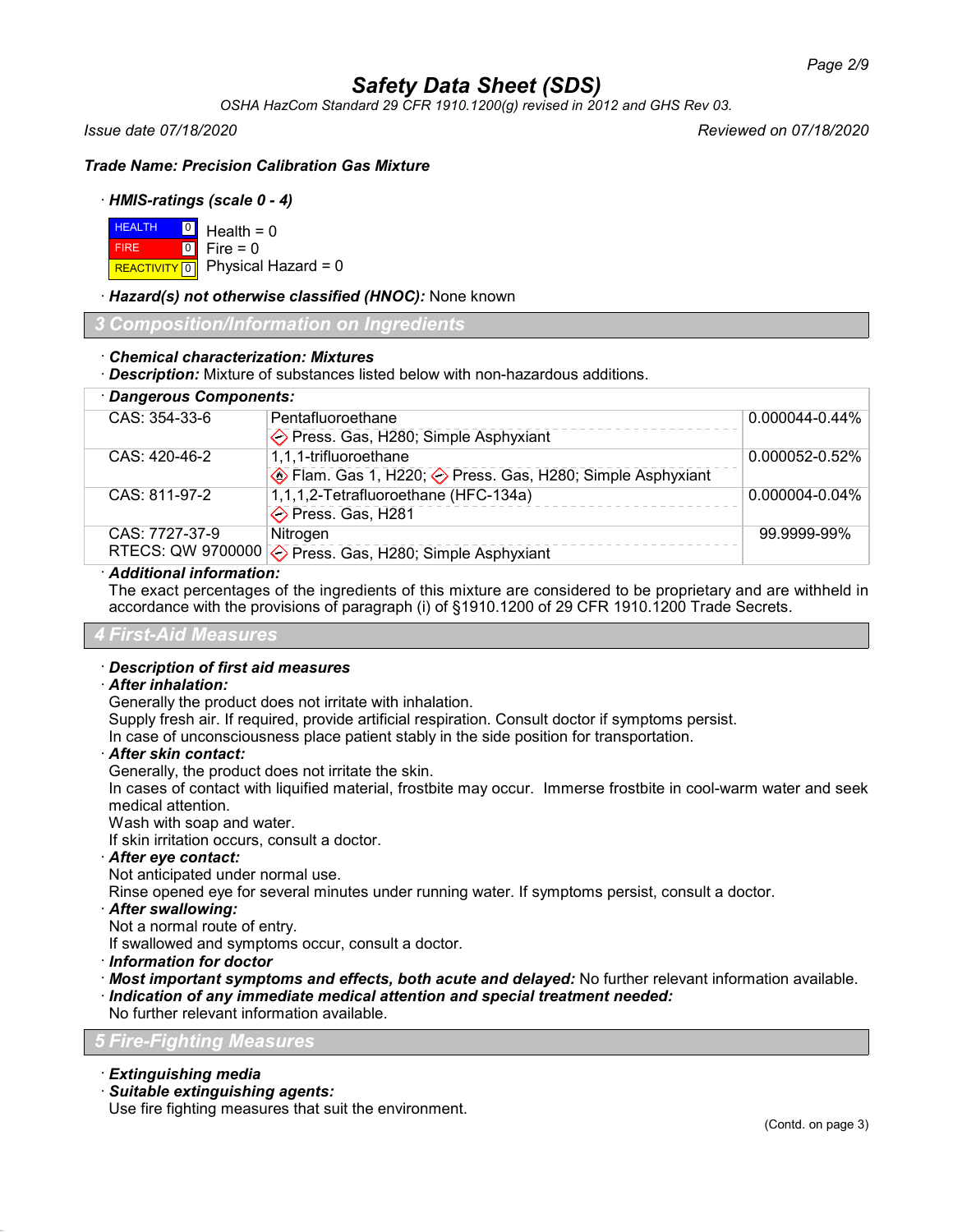*OSHA HazCom Standard 29 CFR 1910.1200(g) revised in 2012 and GHS Rev 03.*

*Issue date 07/18/2020 Reviewed on 07/18/2020*

*Trade Name: Precision Calibration Gas Mixture*

## · *HMIS-ratings (scale 0 - 4)*

| $H = 0$ Health = 0 |                                          |
|--------------------|------------------------------------------|
| <b>FIRE</b>        | $\blacksquare$ 0 $\blacksquare$ Fire = 0 |
|                    | REACTIVITY 0 Physical Hazard = 0         |

## · *Hazard(s) not otherwise classified (HNOC):* None known

*3 Composition/Information on Ingredients*

## · *Chemical characterization: Mixtures*

· *Description:* Mixture of substances listed below with non-hazardous additions.

| · Dangerous Components: |                                                                      |                     |
|-------------------------|----------------------------------------------------------------------|---------------------|
| $CAS: 354-33-6$         | Pentafluoroethane                                                    | $0.000044 - 0.44\%$ |
|                         | ◆ Press. Gas, H280; Simple Asphyxiant                                |                     |
| $CAS: 420-46-2$         | 1,1,1-trifluoroethane                                                | 0.000052-0.52%      |
|                         | ♦ Flam. Gas 1, H220; ♦ Press. Gas, H280; Simple Asphyxiant           |                     |
| CAS: 811-97-2           | 1,1,1,2-Tetrafluoroethane (HFC-134a)                                 | $0.000004 - 0.04\%$ |
|                         | ◆ Press. Gas, H281                                                   |                     |
| CAS: 7727-37-9          | Nitrogen                                                             | 99.9999-99%         |
|                         | RTECS: QW 9700000 $\diamondsuit$ Press. Gas, H280; Simple Asphyxiant |                     |

## · *Additional information:*

The exact percentages of the ingredients of this mixture are considered to be proprietary and are withheld in accordance with the provisions of paragraph (i) of §1910.1200 of 29 CFR 1910.1200 Trade Secrets.

#### *4 First-Aid Measures*

## · *Description of first aid measures*

#### · *After inhalation:*

Generally the product does not irritate with inhalation.

Supply fresh air. If required, provide artificial respiration. Consult doctor if symptoms persist.

In case of unconsciousness place patient stably in the side position for transportation.

#### · *After skin contact:*

Generally, the product does not irritate the skin.

In cases of contact with liquified material, frostbite may occur. Immerse frostbite in cool-warm water and seek medical attention.

Wash with soap and water.

If skin irritation occurs, consult a doctor.

#### · *After eye contact:*

Not anticipated under normal use.

Rinse opened eye for several minutes under running water. If symptoms persist, consult a doctor.

## · *After swallowing:*

Not a normal route of entry.

If swallowed and symptoms occur, consult a doctor.

- · *Information for doctor*
- · *Most important symptoms and effects, both acute and delayed:* No further relevant information available.

· *Indication of any immediate medical attention and special treatment needed:*

No further relevant information available.

#### *5 Fire-Fighting Measures*

## · *Extinguishing media*

· *Suitable extinguishing agents:*

Use fire fighting measures that suit the environment.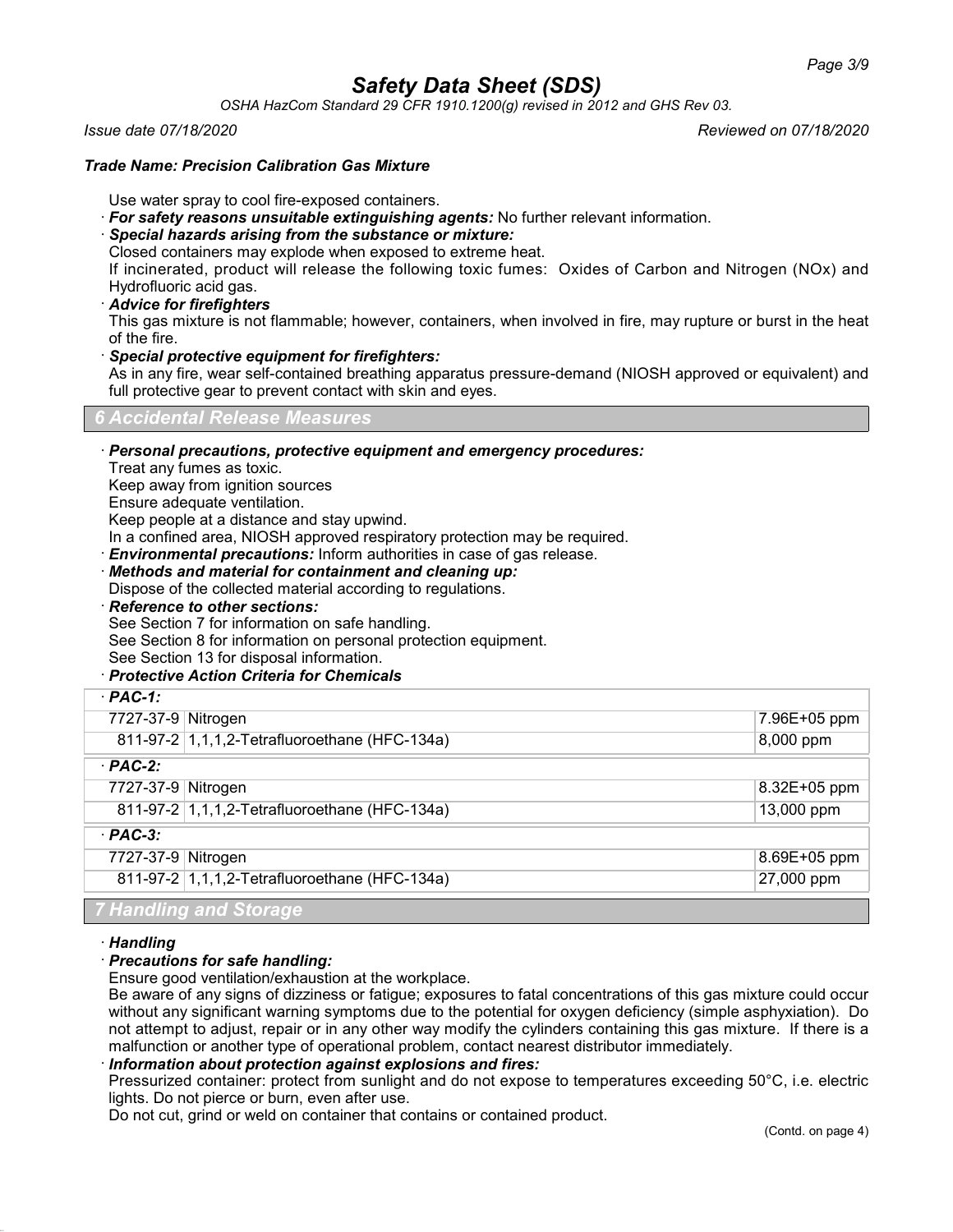*OSHA HazCom Standard 29 CFR 1910.1200(g) revised in 2012 and GHS Rev 03.*

*Issue date 07/18/2020 Reviewed on 07/18/2020*

### *Trade Name: Precision Calibration Gas Mixture*

Use water spray to cool fire-exposed containers.

- · *For safety reasons unsuitable extinguishing agents:* No further relevant information.
- · *Special hazards arising from the substance or mixture:*

Closed containers may explode when exposed to extreme heat.

If incinerated, product will release the following toxic fumes: Oxides of Carbon and Nitrogen (NOx) and Hydrofluoric acid gas.

### · *Advice for firefighters*

This gas mixture is not flammable; however, containers, when involved in fire, may rupture or burst in the heat of the fire.

#### · *Special protective equipment for firefighters:*

As in any fire, wear self-contained breathing apparatus pressure-demand (NIOSH approved or equivalent) and full protective gear to prevent contact with skin and eyes.

## *6 Accidental Release Measures*

· *Personal precautions, protective equipment and emergency procedures:*

Treat any fumes as toxic.

Keep away from ignition sources

Ensure adequate ventilation.

Keep people at a distance and stay upwind.

In a confined area, NIOSH approved respiratory protection may be required.

· *Environmental precautions:* Inform authorities in case of gas release.

· *Methods and material for containment and cleaning up:*

Dispose of the collected material according to regulations.

· *Reference to other sections:*

See Section 7 for information on safe handling.

See Section 8 for information on personal protection equipment.

See Section 13 for disposal information.

## · *Protective Action Criteria for Chemicals*

| $·$ PAC-1:                                    |              |
|-----------------------------------------------|--------------|
| 7727-37-9 Nitrogen                            | 7.96E+05 ppm |
| 811-97-2 1,1,1,2-Tetrafluoroethane (HFC-134a) | 8,000 ppm    |
| $·$ PAC-2:                                    |              |
| 7727-37-9 Nitrogen                            | 8.32E+05 ppm |
| 811-97-2 1,1,1,2-Tetrafluoroethane (HFC-134a) | 13,000 ppm   |
| $\cdot$ PAC-3:                                |              |
| 7727-37-9 Nitrogen                            | 8.69E+05 ppm |
| 811-97-2 1,1,1,2-Tetrafluoroethane (HFC-134a) | 27,000 ppm   |
| 7 Handling and Storage                        |              |

#### · *Handling*

## · *Precautions for safe handling:*

Ensure good ventilation/exhaustion at the workplace.

Be aware of any signs of dizziness or fatigue; exposures to fatal concentrations of this gas mixture could occur without any significant warning symptoms due to the potential for oxygen deficiency (simple asphyxiation). Do not attempt to adjust, repair or in any other way modify the cylinders containing this gas mixture. If there is a malfunction or another type of operational problem, contact nearest distributor immediately.

· *Information about protection against explosions and fires:*

Pressurized container: protect from sunlight and do not expose to temperatures exceeding 50°C, i.e. electric lights. Do not pierce or burn, even after use.

Do not cut, grind or weld on container that contains or contained product.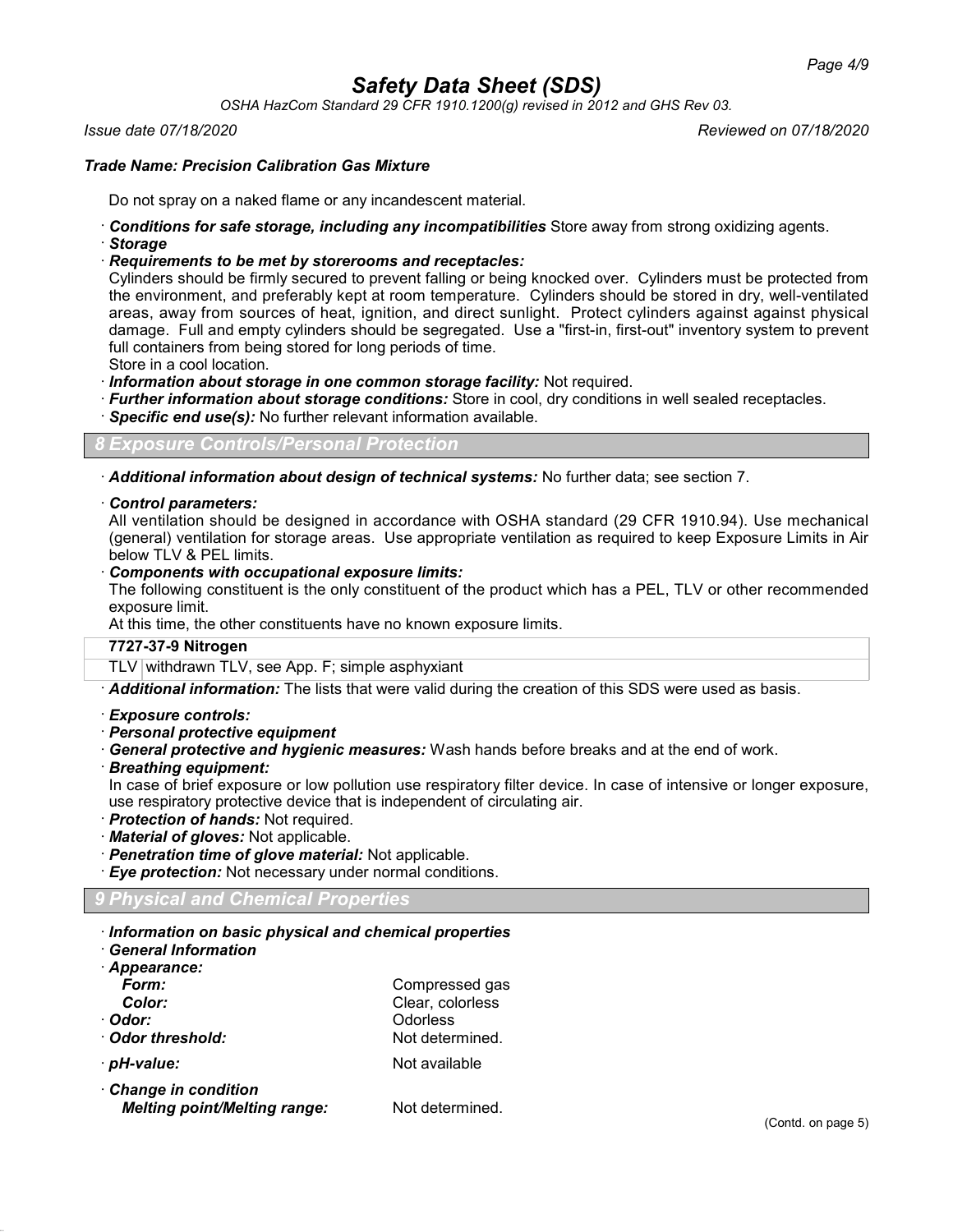*OSHA HazCom Standard 29 CFR 1910.1200(g) revised in 2012 and GHS Rev 03.*

*Issue date 07/18/2020 Reviewed on 07/18/2020*

### *Trade Name: Precision Calibration Gas Mixture*

Do not spray on a naked flame or any incandescent material.

- · *Conditions for safe storage, including any incompatibilities* Store away from strong oxidizing agents. · *Storage*
- · *Requirements to be met by storerooms and receptacles:*

Cylinders should be firmly secured to prevent falling or being knocked over. Cylinders must be protected from the environment, and preferably kept at room temperature. Cylinders should be stored in dry, well-ventilated areas, away from sources of heat, ignition, and direct sunlight. Protect cylinders against against physical damage. Full and empty cylinders should be segregated. Use a "first-in, first-out" inventory system to prevent full containers from being stored for long periods of time.

Store in a cool location.

- · *Information about storage in one common storage facility:* Not required.
- · *Further information about storage conditions:* Store in cool, dry conditions in well sealed receptacles.
- · *Specific end use(s):* No further relevant information available.

*8 Exposure Controls/Personal Protection*

· *Additional information about design of technical systems:* No further data; see section 7.

#### · *Control parameters:*

All ventilation should be designed in accordance with OSHA standard (29 CFR 1910.94). Use mechanical (general) ventilation for storage areas. Use appropriate ventilation as required to keep Exposure Limits in Air below TLV & PEL limits.

· *Components with occupational exposure limits:*

The following constituent is the only constituent of the product which has a PEL, TLV or other recommended exposure limit.

At this time, the other constituents have no known exposure limits.

#### **7727-37-9 Nitrogen**

TLV withdrawn TLV, see App. F; simple asphyxiant

· *Additional information:* The lists that were valid during the creation of this SDS were used as basis.

- · *Exposure controls:*
- · *Personal protective equipment*
- · *General protective and hygienic measures:* Wash hands before breaks and at the end of work.
- · *Breathing equipment:*

In case of brief exposure or low pollution use respiratory filter device. In case of intensive or longer exposure, use respiratory protective device that is independent of circulating air.

- · *Protection of hands:* Not required.
- · *Material of gloves:* Not applicable.
- · *Penetration time of glove material:* Not applicable.
- · *Eye protection:* Not necessary under normal conditions.

## *9 Physical and Chemical Properties*

- · *Information on basic physical and chemical properties*
- · *General Information*
- · *Appearance:* **Form:** Compressed gas *Color:* Clear, colorless · *Odor:* Odorless · Odor threshold:
- · *pH-value:* Not available
- · *Change in condition Melting point/Melting range:* Not determined.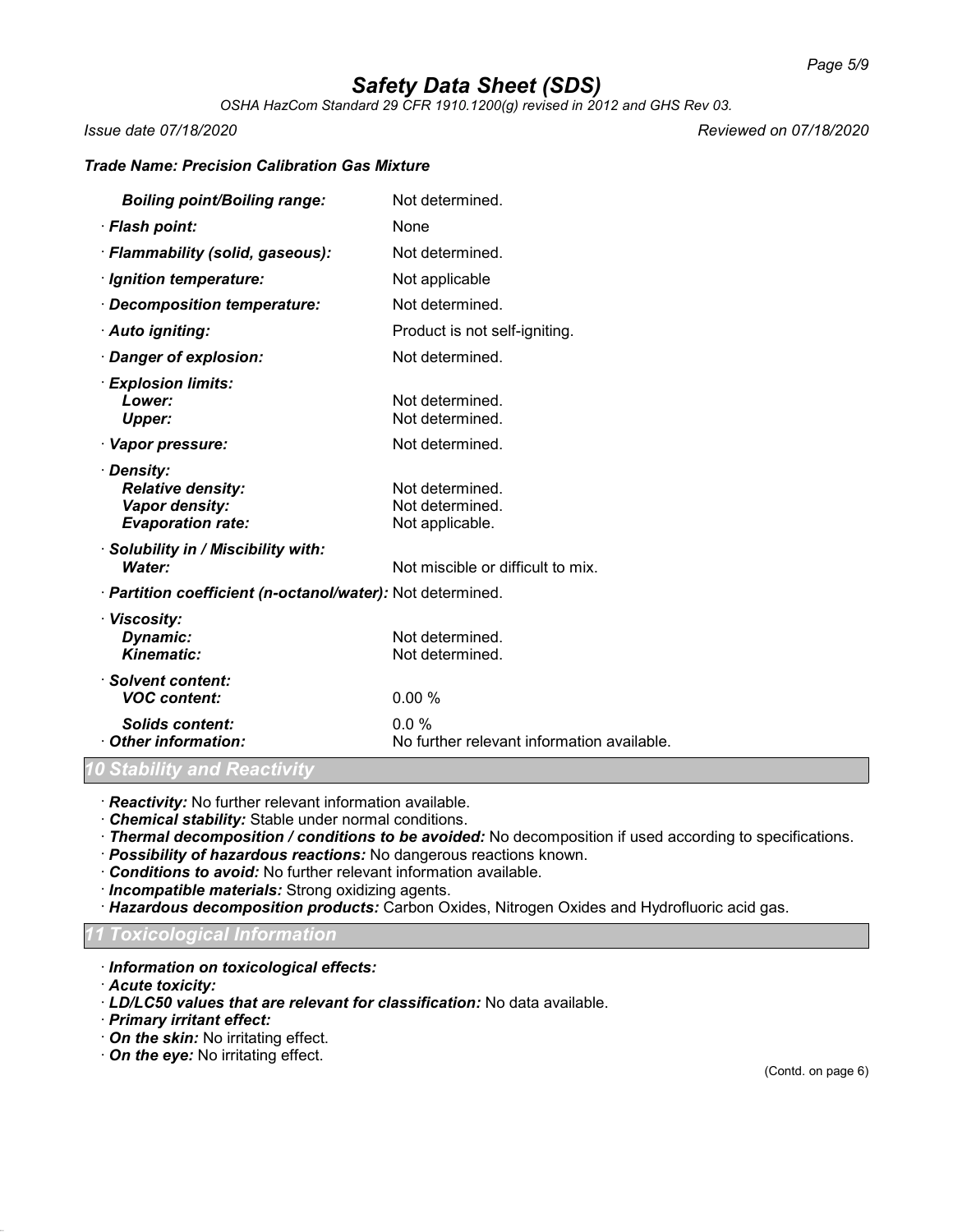*OSHA HazCom Standard 29 CFR 1910.1200(g) revised in 2012 and GHS Rev 03.*

*Issue date 07/18/2020 Reviewed on 07/18/2020*

### *Trade Name: Precision Calibration Gas Mixture*

| <b>Boiling point/Boiling range:</b>                                                  | Not determined.                                       |
|--------------------------------------------------------------------------------------|-------------------------------------------------------|
| · Flash point:                                                                       | None                                                  |
| · Flammability (solid, gaseous):                                                     | Not determined.                                       |
| · Ignition temperature:                                                              | Not applicable                                        |
| · Decomposition temperature:                                                         | Not determined.                                       |
| · Auto igniting:                                                                     | Product is not self-igniting.                         |
| Danger of explosion:                                                                 | Not determined.                                       |
| · Explosion limits:<br>Lower:<br><b>Upper:</b>                                       | Not determined.<br>Not determined.                    |
| · Vapor pressure:                                                                    | Not determined.                                       |
| · Density:<br><b>Relative density:</b><br>Vapor density:<br><b>Evaporation rate:</b> | Not determined.<br>Not determined.<br>Not applicable. |
| Solubility in / Miscibility with:<br>Water:                                          | Not miscible or difficult to mix.                     |
| · Partition coefficient (n-octanol/water): Not determined.                           |                                                       |
| · Viscosity:<br>Dynamic:<br><b>Kinematic:</b>                                        | Not determined.<br>Not determined.                    |
| · Solvent content:<br><b>VOC content:</b>                                            | 0.00%                                                 |
| <b>Solids content:</b><br>Other information:                                         | $0.0\%$<br>No further relevant information available. |

## *Stability and Reactivity*

· *Reactivity:* No further relevant information available.

· *Chemical stability:* Stable under normal conditions.

- · *Thermal decomposition / conditions to be avoided:* No decomposition if used according to specifications.
- · *Possibility of hazardous reactions:* No dangerous reactions known.
- · *Conditions to avoid:* No further relevant information available.
- · *Incompatible materials:* Strong oxidizing agents.
- · *Hazardous decomposition products:* Carbon Oxides, Nitrogen Oxides and Hydrofluoric acid gas.

#### *11 Toxicological Information*

- · *Information on toxicological effects:*
- · *Acute toxicity:*
- · *LD/LC50 values that are relevant for classification:* No data available.
- · *Primary irritant effect:*
- · *On the skin:* No irritating effect.
- · *On the eye:* No irritating effect.

(Contd. on page 6)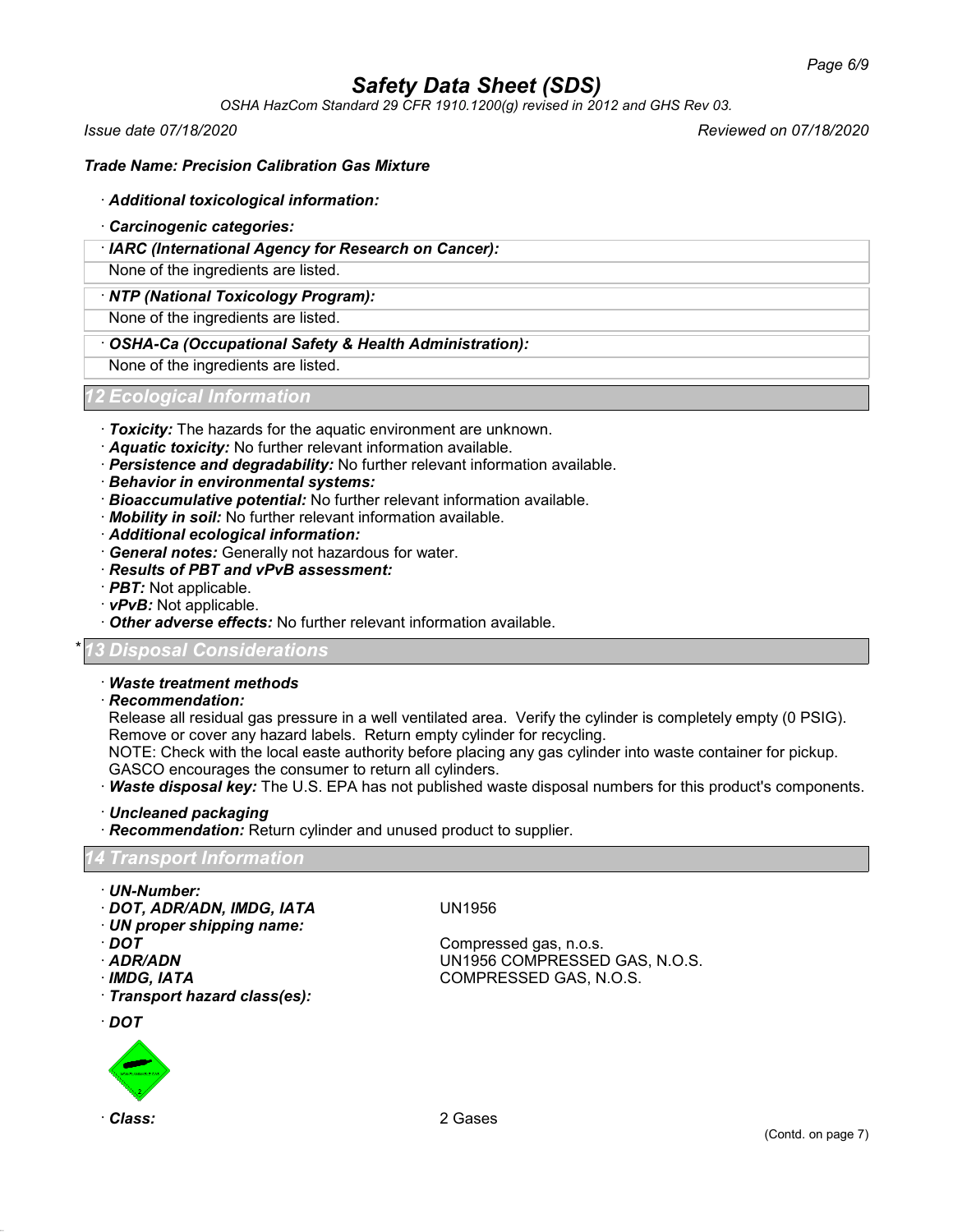*OSHA HazCom Standard 29 CFR 1910.1200(g) revised in 2012 and GHS Rev 03.*

*Issue date 07/18/2020 Reviewed on 07/18/2020*

## *Trade Name: Precision Calibration Gas Mixture*

#### · *Additional toxicological information:*

- · *Carcinogenic categories:*
- · *IARC (International Agency for Research on Cancer):*

None of the ingredients are listed.

#### · *NTP (National Toxicology Program):*

None of the ingredients are listed.

## · *OSHA-Ca (Occupational Safety & Health Administration):*

None of the ingredients are listed.

## *12 Ecological Information*

- · *Toxicity:* The hazards for the aquatic environment are unknown.
- · *Aquatic toxicity:* No further relevant information available.
- · *Persistence and degradability:* No further relevant information available.
- · *Behavior in environmental systems:*
- · *Bioaccumulative potential:* No further relevant information available.
- · *Mobility in soil:* No further relevant information available.
- · *Additional ecological information:*
- · *General notes:* Generally not hazardous for water.
- · *Results of PBT and vPvB assessment:*
- · *PBT:* Not applicable.
- · *vPvB:* Not applicable.
- · *Other adverse effects:* No further relevant information available.

## \* *13 Disposal Considerations*

#### · *Waste treatment methods*

· *Recommendation:*

Release all residual gas pressure in a well ventilated area. Verify the cylinder is completely empty (0 PSIG). Remove or cover any hazard labels. Return empty cylinder for recycling.

NOTE: Check with the local easte authority before placing any gas cylinder into waste container for pickup. GASCO encourages the consumer to return all cylinders.

- · *Waste disposal key:* The U.S. EPA has not published waste disposal numbers for this product's components.
- · *Uncleaned packaging*
- · *Recommendation:* Return cylinder and unused product to supplier.

#### *14 Transport Information*

- · *UN-Number:*
- · *DOT, ADR/ADN, IMDG, IATA* UN1956
- · *UN proper shipping name:*
- 
- 
- 

· *Transport hazard class(es):*

· *DOT*



Compressed gas, n.o.s. · *ADR/ADN* UN1956 COMPRESSED GAS, N.O.S. · *IMDG, IATA* COMPRESSED GAS, N.O.S.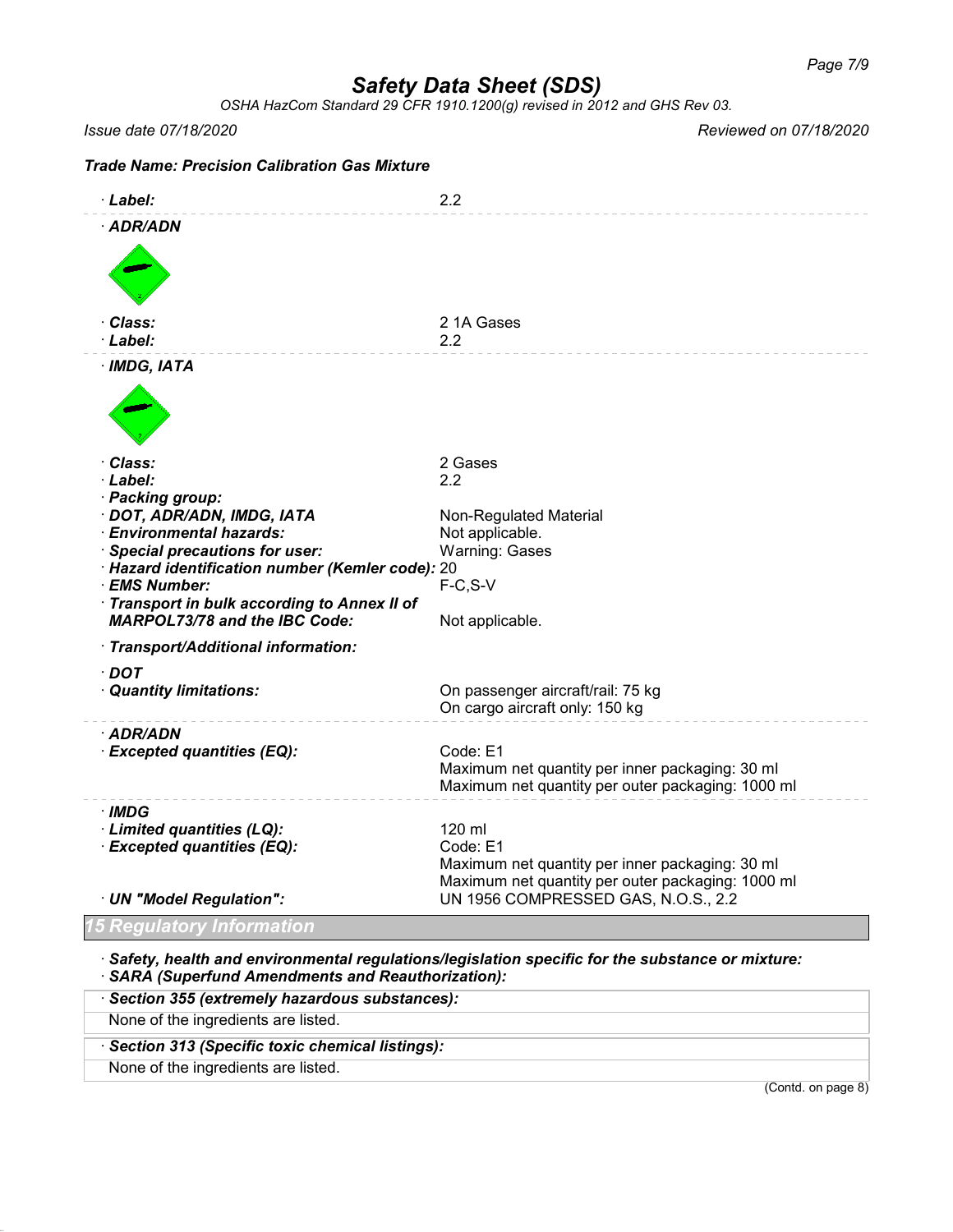*OSHA HazCom Standard 29 CFR 1910.1200(g) revised in 2012 and GHS Rev 03.*

*Issue date 07/18/2020 Reviewed on 07/18/2020*

| <b>Trade Name: Precision Calibration Gas Mixture</b>                                                                                                                                                                                                                                             |                                                                                                                                                                   |
|--------------------------------------------------------------------------------------------------------------------------------------------------------------------------------------------------------------------------------------------------------------------------------------------------|-------------------------------------------------------------------------------------------------------------------------------------------------------------------|
| · Label:                                                                                                                                                                                                                                                                                         | 2.2                                                                                                                                                               |
| · ADR/ADN                                                                                                                                                                                                                                                                                        |                                                                                                                                                                   |
| · Class:<br>· Label:                                                                                                                                                                                                                                                                             | 21A Gases<br>2.2                                                                                                                                                  |
| $·$ IMDG, IATA                                                                                                                                                                                                                                                                                   |                                                                                                                                                                   |
| · Class:<br>· Label:<br>· Packing group:<br>· DOT, ADR/ADN, IMDG, IATA<br>· Environmental hazards:<br>· Special precautions for user:<br>· Hazard identification number (Kemler code): 20<br>· EMS Number:<br>Transport in bulk according to Annex II of<br><b>MARPOL73/78 and the IBC Code:</b> | 2 Gases<br>2.2<br>Non-Regulated Material<br>Not applicable.<br><b>Warning: Gases</b><br>$F-C, S-V$<br>Not applicable.                                             |
| · Transport/Additional information:<br>· DOT<br>· Quantity limitations:                                                                                                                                                                                                                          | On passenger aircraft/rail: 75 kg<br>On cargo aircraft only: 150 kg                                                                                               |
| · ADR/ADN<br>· Excepted quantities (EQ):                                                                                                                                                                                                                                                         | Code: E1<br>Maximum net quantity per inner packaging: 30 ml<br>Maximum net quantity per outer packaging: 1000 ml                                                  |
| · IMDG<br>· Limited quantities (LQ):<br>· Excepted quantities (EQ):<br>· UN "Model Regulation":                                                                                                                                                                                                  | 120 ml<br>Code: E1<br>Maximum net quantity per inner packaging: 30 ml<br>Maximum net quantity per outer packaging: 1000 ml<br>UN 1956 COMPRESSED GAS, N.O.S., 2.2 |
| 5 Regulatory Information                                                                                                                                                                                                                                                                         |                                                                                                                                                                   |
|                                                                                                                                                                                                                                                                                                  |                                                                                                                                                                   |

· *Safety, health and environmental regulations/legislation specific for the substance or mixture:* · *SARA (Superfund Amendments and Reauthorization):*

| · Section 355 (extremely hazardous substances): |                    |
|-------------------------------------------------|--------------------|
| None of the ingredients are listed.             |                    |
| Section 313 (Specific toxic chemical listings): |                    |
| None of the ingredients are listed.             |                    |
|                                                 | (Contd. on page 8) |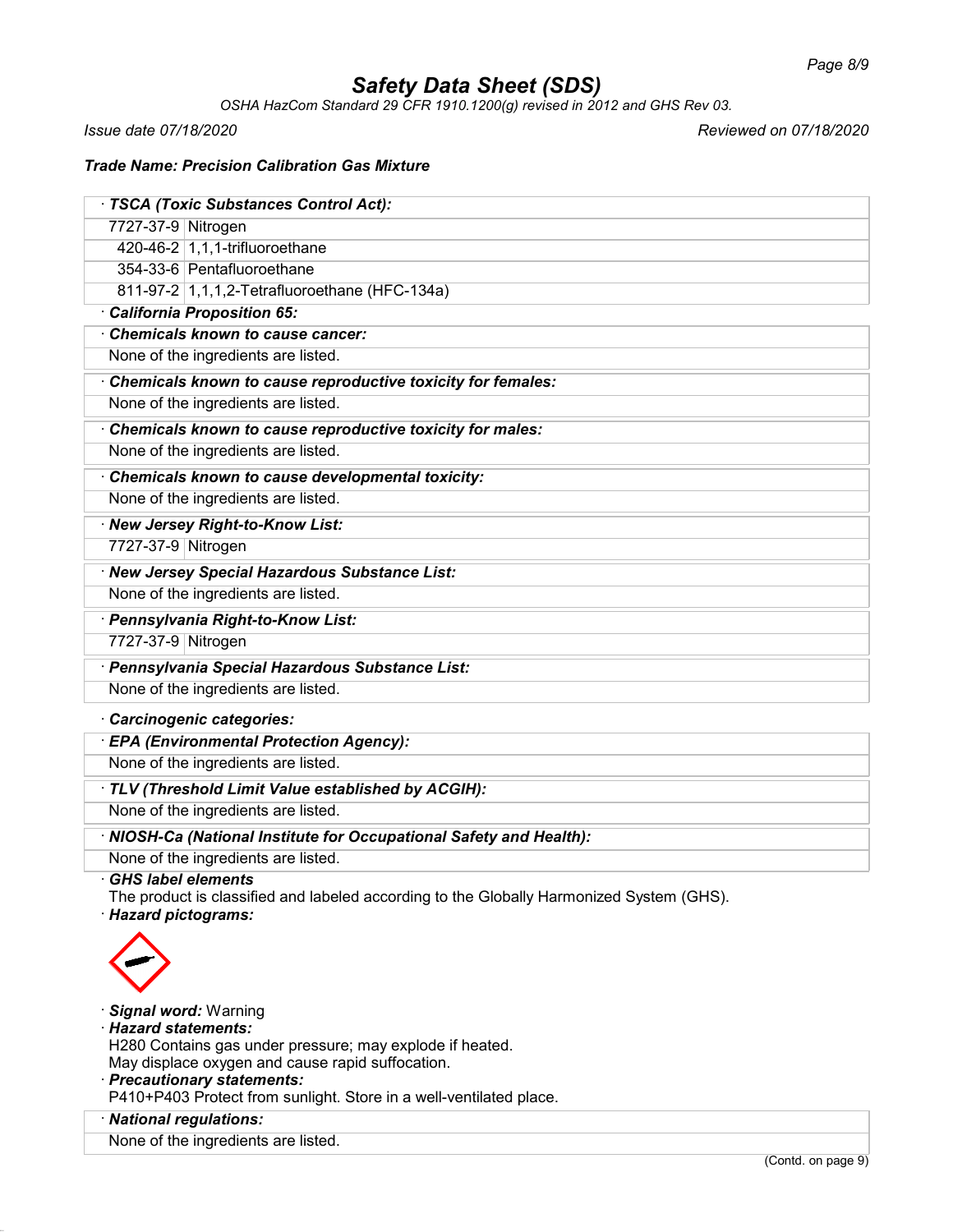*OSHA HazCom Standard 29 CFR 1910.1200(g) revised in 2012 and GHS Rev 03.*

*Issue date 07/18/2020 Reviewed on 07/18/2020*

## *Trade Name: Precision Calibration Gas Mixture*

| · TSCA (Toxic Substances Control Act):                                                                           |
|------------------------------------------------------------------------------------------------------------------|
| 7727-37-9 Nitrogen                                                                                               |
| 420-46-2 1,1,1-trifluoroethane                                                                                   |
| 354-33-6 Pentafluoroethane                                                                                       |
| 811-97-2 1,1,1,2-Tetrafluoroethane (HFC-134a)                                                                    |
| California Proposition 65:                                                                                       |
| <b>Chemicals known to cause cancer:</b>                                                                          |
| None of the ingredients are listed.                                                                              |
| Chemicals known to cause reproductive toxicity for females:                                                      |
| None of the ingredients are listed.                                                                              |
| Chemicals known to cause reproductive toxicity for males:                                                        |
| None of the ingredients are listed.                                                                              |
| Chemicals known to cause developmental toxicity:                                                                 |
| None of the ingredients are listed.                                                                              |
| · New Jersey Right-to-Know List:                                                                                 |
| 7727-37-9 Nitrogen                                                                                               |
| · New Jersey Special Hazardous Substance List:                                                                   |
| None of the ingredients are listed.                                                                              |
| · Pennsylvania Right-to-Know List:                                                                               |
| 7727-37-9 Nitrogen                                                                                               |
| · Pennsylvania Special Hazardous Substance List:                                                                 |
| None of the ingredients are listed.                                                                              |
| Carcinogenic categories:                                                                                         |
| · EPA (Environmental Protection Agency):                                                                         |
| None of the ingredients are listed.                                                                              |
| · TLV (Threshold Limit Value established by ACGIH):                                                              |
| None of the ingredients are listed.                                                                              |
| · NIOSH-Ca (National Institute for Occupational Safety and Health):                                              |
| None of the ingredients are listed.                                                                              |
| $\cdot$ GHS label elements                                                                                       |
| The product is classified and labeled according to the Globally Harmonized System (GHS).<br>· Hazard pictograms: |
|                                                                                                                  |
|                                                                                                                  |
|                                                                                                                  |
| · Signal word: Warning                                                                                           |
| · Hazard statements:                                                                                             |
| H280 Contains gas under pressure; may explode if heated.<br>May displace oxygen and cause rapid suffocation.     |
| · Precautionary statements:                                                                                      |
| 0. D402 Dratest from quplight. Ctore in a well ventilated place                                                  |

P410+P403 Protect from sunlight. Store in a well-ventilated place.

## · *National regulations:*

None of the ingredients are listed.